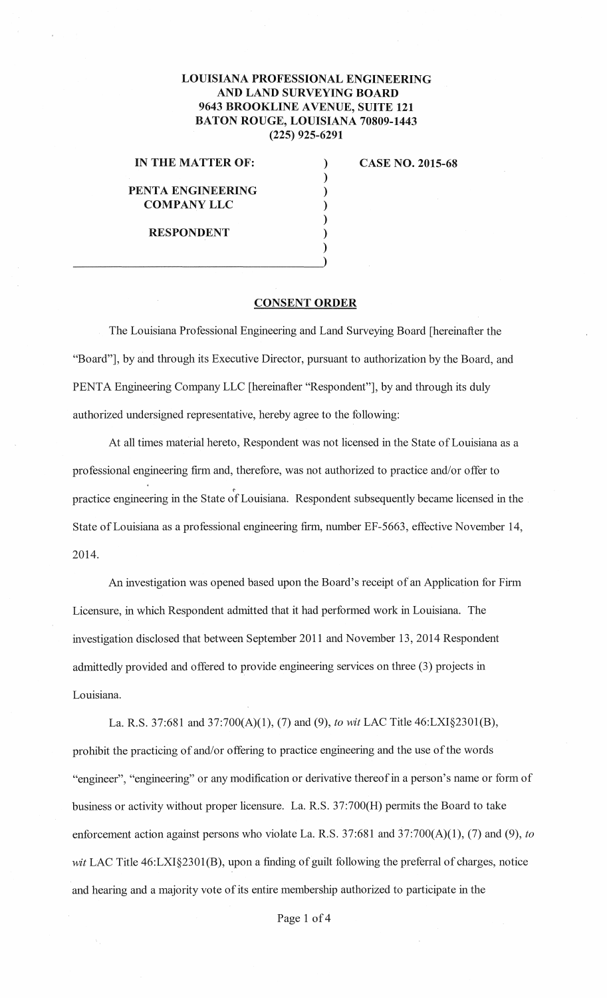## **LOUISIANA PROFESSIONAL ENGINEERING AND LAND SURVEYING BOARD 9643 BROOKLINE AVENUE, SUITE 121 BATON ROUGE, LOUISIANA 70809-1443 (225) 925-6291**

) ) ) ) ) ) )

## **IN THE MATTER OF:**

**PENTA ENGINEERING COMPANYLLC** 

**RESPONDENT** 

**CASE NO. 2015-68** 

## **CONSENT ORDER**

The Louisiana Professional Engineering and Land Surveying Board [hereinafter the "Board"], by and through its Executive Director, pursuant to authorization by the Board, and PENTA Engineering Company LLC [hereinafter "Respondent"], by and through its duly authorized undersigned representative, hereby agree to the following:

At all times material hereto, Respondent was not licensed in the State of Louisiana as a professional engineering firm and, therefore, was not authorized to practice and/or offer to practice engineering in the State of Louisiana. Respondent subsequently became licensed in the State of Louisiana as a professional engineering firm, number EF-5663, effective November 14, 2014.

An investigation was opened based upon the Board's receipt of an Application for Firm Licensure, in which Respondent admitted that it had performed work in Louisiana. The investigation disclosed that between September 2011 and November 13, 2014 Respondent admittedly provided and offered to provide engineering services on three (3) projects in Louisiana.

La. R.S. 37:681 and 37:700(A)(l), (7) and (9), *to wit* LAC Title 46:LXI§2301(B), prohibit the practicing of and/or offering to practice engineering and the use of the words "engineer", "engineering" or any modification or derivative thereof in a person's name or form of business or activity without proper licensure. La. R.S. 37:700(H) permits the Board to take enforcement action against persons who violate La. R.S. 37:681 and 37:700(A)(l), (7) and (9), *to*  wit LAC Title 46:LXI§2301(B), upon a finding of guilt following the preferral of charges, notice and hearing and a majority vote of its entire membership authorized to participate in the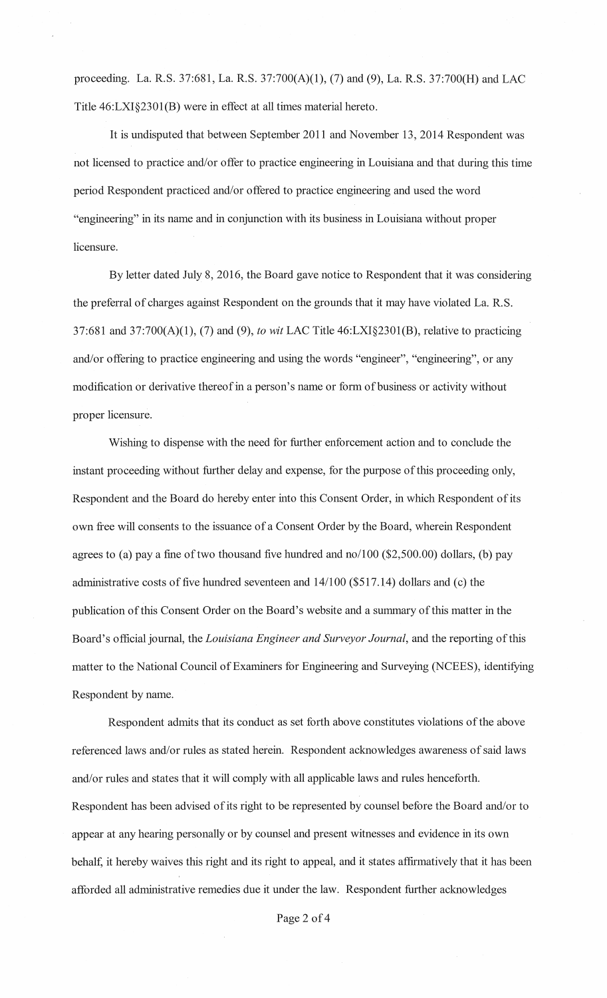proceeding. La. R.S. 37:681, La. R.S. 37:700(A)(l), (7) and (9), La. R.S. 37:700(H) and LAC Title 46:LXI§2301(B) were in effect at all times material hereto.

It is undisputed that between September 2011 and November 13, 2014 Respondent was not licensed to practice and/or offer to practice engineering in Louisiana and that during this time period Respondent practiced and/or offered to practice engineering and used the word "engineering" in its name and in conjunction with its business in Louisiana without proper licensure.

By letter dated July 8, 2016, the Board gave notice to Respondent that it was considering the preferral of charges against Respondent on the grounds that it may have violated La. R.S. 37:681 and 37:700(A)(l), (7) and (9), *to wit* LAC Title 46:LXI§2301(B), relative to practicing and/or offering to practice engineering and using the words "engineer", "engineering", or any modification or derivative thereofin a person's name or form of business or activity without proper licensure.

Wishing to dispense with the need for further enforcement action and to conclude the instant proceeding without further delay and expense, for the purpose of this proceeding only, Respondent and the Board do hereby enter into this Consent Order, in which Respondent of its own free will consents to the issuance of a Consent Order by the Board, wherein Respondent agrees to (a) pay a fine of two thousand five hundred and no/100 (\$2,500.00) dollars, (b) pay administrative costs of five hundred seventeen and  $14/100$  (\$517.14) dollars and (c) the publication of this Consent Order on the Board's website and a summary of this matter in the Board's official journal, the *Louisiana Engineer and Surveyor Journal,* and the reporting of this matter to the National Council of Examiners for Engineering and Surveying (NCEES), identifying Respondent by name.

Respondent admits that its conduct as set forth above constitutes violations of the above referenced laws and/or rules as stated herein. Respondent acknowledges awareness of said laws and/or rules and states that it will comply with all applicable laws and rules henceforth. Respondent has been advised of its right to be represented by counsel before the Board and/or to appear at any hearing personally or by counsel and present witnesses and evidence in its own behalf, it hereby waives this right and its right to appeal, and it states affirmatively that it has been afforded all administrative remedies due it under the law. Respondent further acknowledges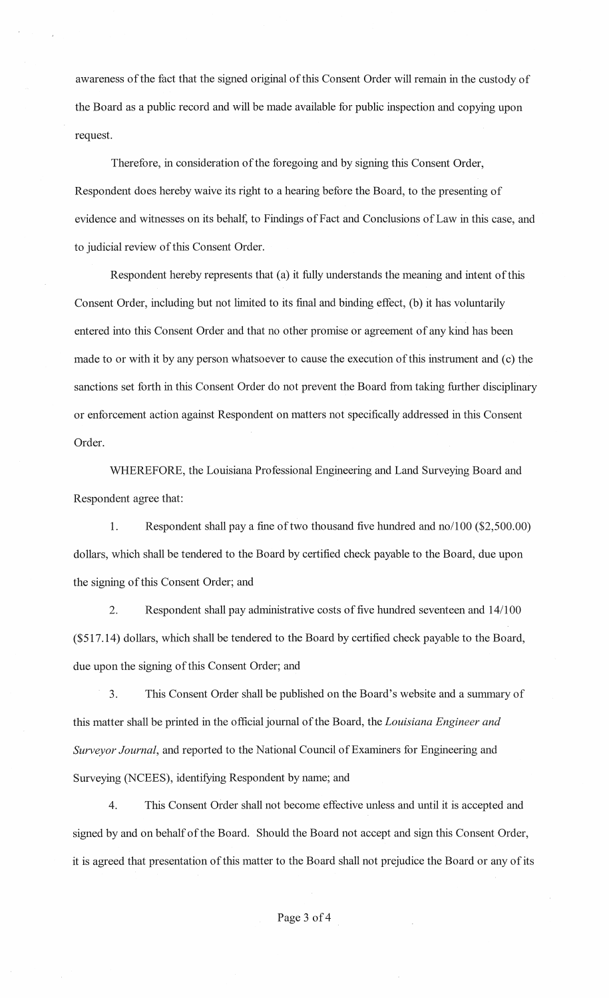awareness of the fact that the signed original of this Consent Order will remain in the custody of the Board as a public record and will be made available for public inspection and copying upon request.

Therefore, in consideration of the foregoing and by signing this Consent Order, Respondent does hereby waive its right to a hearing before the Board, to the presenting of evidence and witnesses on its behalf, to Findings of Fact and Conclusions of Law in this case, and to judicial review of this Consent Order.

Respondent hereby represents that (a) it fully understands the meaning and intent of this Consent Order, including but not limited to its final and binding effect, (b) it has voluntarily entered into this Consent Order and that no other promise or agreement of any kind has been made to or with it by any person whatsoever to cause the execution of this instrument and (c) the sanctions set forth in this Consent Order do not prevent the Board from taking further disciplinary or enforcement action against Respondent on matters not specifically addressed in this Consent Order.

WHEREFORE, the Louisiana Professional Engineering and Land Surveying Board and Respondent agree that:

1. Respondent shall pay a fine of two thousand five hundred and no/100 (\$2,500.00) dollars, which shall be tendered to the Board by certified check payable to the Board, due upon the signing of this Consent Order; and

2. Respondent shall pay administrative costs of five hundred seventeen and 14/100 (\$517.14) dollars, which shall be tendered to the Board by certified check payable to the Board, due upon the signing of this Consent Order; and

3. This Consent Order shall be published on the Board's website and a summary of this matter shall be printed in the official journal of the Board, the *Louisiana Engineer and Surveyor Journal,* and reported to the National Council of Examiners for Engineering and Surveying (NCEES), identifying Respondent by name; and

4. This Consent Order shall not become effective unless and until it is accepted and signed by and on behalf of the Board. Should the Board not accept and sign this Consent Order, it is agreed that presentation of this matter to the Board shall not prejudice the Board or any of its